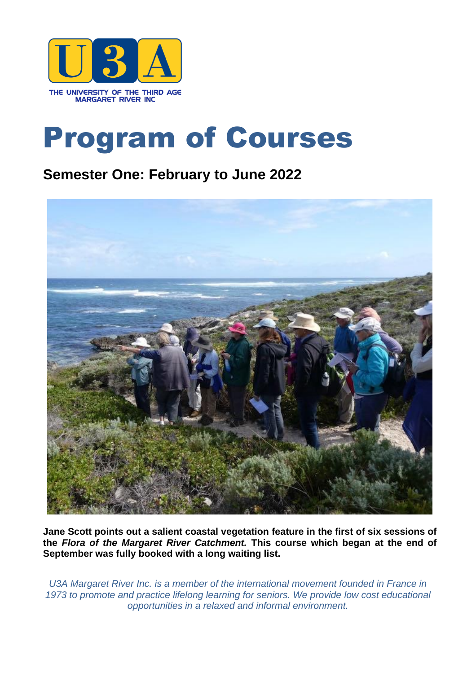

# Program of Courses

# **Semester One: February to June 2022**



**Jane Scott points out a salient coastal vegetation feature in the first of six sessions of the** *Flora of the Margaret River Catchment.* **This course which began at the end of September was fully booked with a long waiting list.**

*U3A Margaret River Inc. is a member of the international movement founded in France in 1973 to promote and practice lifelong learning for seniors. We provide low cost educational opportunities in a relaxed and informal environment.*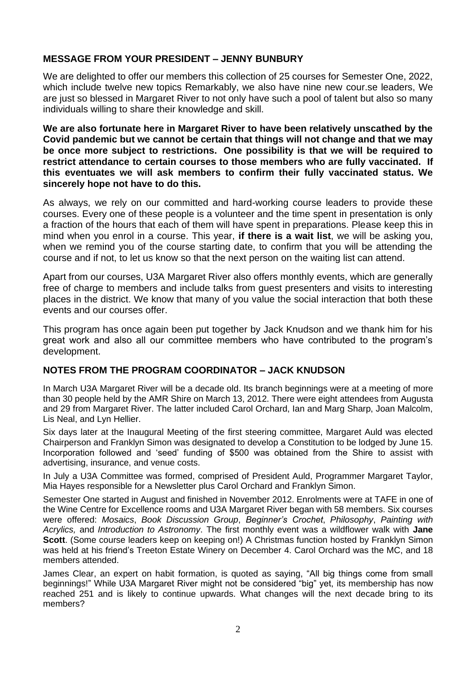## **MESSAGE FROM YOUR PRESIDENT – JENNY BUNBURY**

We are delighted to offer our members this collection of 25 courses for Semester One, 2022, which include twelve new topics Remarkably, we also have nine new cour.se leaders, We are just so blessed in Margaret River to not only have such a pool of talent but also so many individuals willing to share their knowledge and skill.

**We are also fortunate here in Margaret River to have been relatively unscathed by the Covid pandemic but we cannot be certain that things will not change and that we may be once more subject to restrictions. One possibility is that we will be required to restrict attendance to certain courses to those members who are fully vaccinated. If this eventuates we will ask members to confirm their fully vaccinated status. We sincerely hope not have to do this.** 

As always, we rely on our committed and hard-working course leaders to provide these courses. Every one of these people is a volunteer and the time spent in presentation is only a fraction of the hours that each of them will have spent in preparations. Please keep this in mind when you enrol in a course. This year, **if there is a wait list**, we will be asking you, when we remind you of the course starting date, to confirm that you will be attending the course and if not, to let us know so that the next person on the waiting list can attend.

Apart from our courses, U3A Margaret River also offers monthly events, which are generally free of charge to members and include talks from guest presenters and visits to interesting places in the district. We know that many of you value the social interaction that both these events and our courses offer.

This program has once again been put together by Jack Knudson and we thank him for his great work and also all our committee members who have contributed to the program's development.

## **NOTES FROM THE PROGRAM COORDINATOR – JACK KNUDSON**

In March U3A Margaret River will be a decade old. Its branch beginnings were at a meeting of more than 30 people held by the AMR Shire on March 13, 2012. There were eight attendees from Augusta and 29 from Margaret River. The latter included Carol Orchard, Ian and Marg Sharp, Joan Malcolm, Lis Neal, and Lyn Hellier.

Six days later at the Inaugural Meeting of the first steering committee, Margaret Auld was elected Chairperson and Franklyn Simon was designated to develop a Constitution to be lodged by June 15. Incorporation followed and 'seed' funding of \$500 was obtained from the Shire to assist with advertising, insurance, and venue costs.

In July a U3A Committee was formed, comprised of President Auld, Programmer Margaret Taylor, Mia Hayes responsible for a Newsletter plus Carol Orchard and Franklyn Simon.

Semester One started in August and finished in November 2012. Enrolments were at TAFE in one of the Wine Centre for Excellence rooms and U3A Margaret River began with 58 members. Six courses were offered: *Mosaics*, *Book Discussion Group*, *Beginner's Crochet*, *Philosophy*, *Painting with Acrylics,* and *Introduction to Astronomy*. The first monthly event was a wildflower walk with **Jane Scott**. (Some course leaders keep on keeping on!) A Christmas function hosted by Franklyn Simon was held at his friend's Treeton Estate Winery on December 4. Carol Orchard was the MC, and 18 members attended.

James Clear, an expert on habit formation, is quoted as saying, "All big things come from small beginnings!" While U3A Margaret River might not be considered "big" yet, its membership has now reached 251 and is likely to continue upwards. What changes will the next decade bring to its members?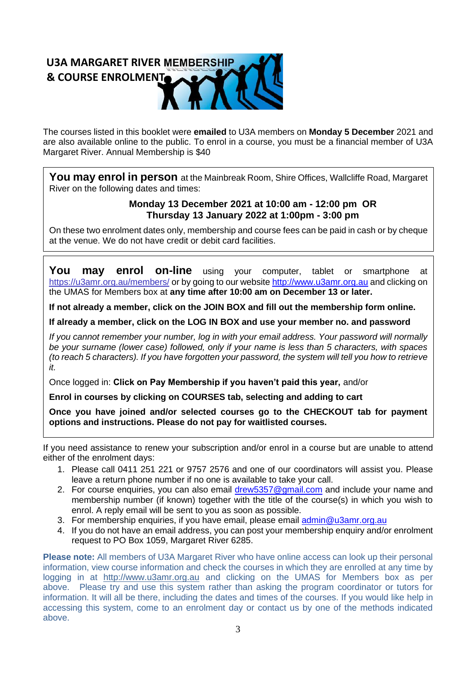# **U3A MARGARET RIVER & COURSE ENROLMENT**

The courses listed in this booklet were **emailed** to U3A members on **Monday 5 December** 2021 and are also available online to the public. To enrol in a course, you must be a financial member of U3A Margaret River. Annual Membership is \$40

You may enrol in person at the Mainbreak Room, Shire Offices, Wallcliffe Road, Margaret River on the following dates and times:

## **Monday 13 December 2021 at 10:00 am - 12:00 pm OR Thursday 13 January 2022 at 1:00pm - 3:00 pm**

On these two enrolment dates only, membership and course fees can be paid in cash or by cheque at the venue. We do not have credit or debit card facilities.

**You may enrol on-line** using your computer, tablet or smartphone at <https://u3amr.org.au/members/> or by going to our website [http://www.u3amr.org.au](http://www.u3amr.org.au/) and clicking on the UMAS for Members box at **any time after 10:00 am on December 13 or later.**

**If not already a member, click on the JOIN BOX and fill out the membership form online.**

**If already a member, click on the LOG IN BOX and use your member no. and password**

*If you cannot remember your number, log in with your email address. Your password will normally be your surname (lower case) followed, only if your name is less than 5 characters, with spaces (to reach 5 characters). If you have forgotten your password, the system will tell you how to retrieve it.*

Once logged in: **Click on Pay Membership if you haven't paid this year,** and/or

**Enrol in courses by clicking on COURSES tab, selecting and adding to cart**

**Once you have joined and/or selected courses go to the CHECKOUT tab for payment options and instructions. Please do not pay for waitlisted courses.**

If you need assistance to renew your subscription and/or enrol in a course but are unable to attend either of the enrolment days:

- 1. Please call 0411 251 221 or 9757 2576 and one of our coordinators will assist you. Please leave a return phone number if no one is available to take your call.
- 2. For course enquiries, you can also email [drew5357@gmail.com](mailto:drew5357@gmail.com) and include your name and membership number (if known) together with the title of the course(s) in which you wish to enrol. A reply email will be sent to you as soon as possible.
- 3. For membership enquiries, if you have email, please email [admin@u3amr.org.au](mailto:admin@u3amr.org.au)
- 4. If you do not have an email address, you can post your membership enquiry and/or enrolment request to PO Box 1059, Margaret River 6285.

**Please note:** All members of U3A Margaret River who have online access can look up their personal information, view course information and check the courses in which they are enrolled at any time by logging in at [http://www.u3amr.org.au](http://www.u3amr.org.au/) and clicking on the UMAS for Members box as per above. Please try and use this system rather than asking the program coordinator or tutors for information. It will all be there, including the dates and times of the courses. If you would like help in accessing this system, come to an enrolment day or contact us by one of the methods indicated above.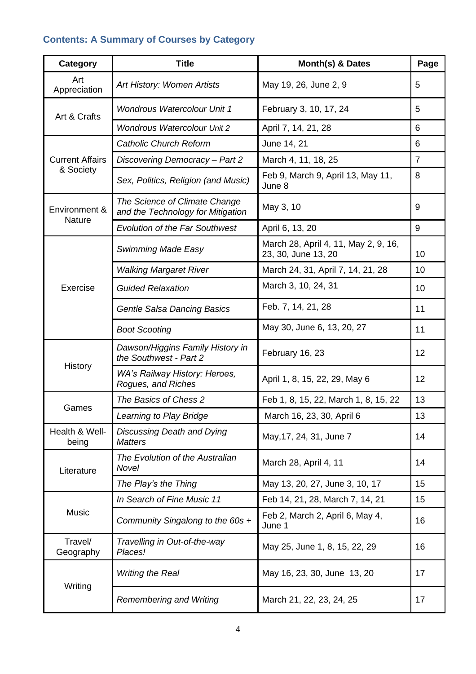## **Contents: A Summary of Courses by Category**

| Category                            | <b>Title</b>                                                       | Month(s) & Dates                                            | Page           |
|-------------------------------------|--------------------------------------------------------------------|-------------------------------------------------------------|----------------|
| Art<br>Appreciation                 | Art History: Women Artists                                         | May 19, 26, June 2, 9                                       | 5              |
| Art & Crafts                        | <b>Wondrous Watercolour Unit 1</b>                                 | February 3, 10, 17, 24                                      | 5              |
|                                     | <b>Wondrous Watercolour Unit 2</b>                                 | April 7, 14, 21, 28                                         | 6              |
| <b>Current Affairs</b><br>& Society | <b>Catholic Church Reform</b>                                      | June 14, 21                                                 | 6              |
|                                     | Discovering Democracy - Part 2                                     | March 4, 11, 18, 25                                         | $\overline{7}$ |
|                                     | Sex, Politics, Religion (and Music)                                | Feb 9, March 9, April 13, May 11,<br>June 8                 | 8              |
| Environment &<br><b>Nature</b>      | The Science of Climate Change<br>and the Technology for Mitigation | May 3, 10                                                   | 9              |
|                                     | <b>Evolution of the Far Southwest</b>                              | April 6, 13, 20                                             | 9              |
| Exercise                            | <b>Swimming Made Easy</b>                                          | March 28, April 4, 11, May 2, 9, 16,<br>23, 30, June 13, 20 | 10             |
|                                     | <b>Walking Margaret River</b>                                      | March 24, 31, April 7, 14, 21, 28                           | 10             |
|                                     | <b>Guided Relaxation</b>                                           | March 3, 10, 24, 31                                         | 10             |
|                                     | Gentle Salsa Dancing Basics                                        | Feb. 7, 14, 21, 28                                          | 11             |
|                                     | <b>Boot Scooting</b>                                               | May 30, June 6, 13, 20, 27                                  | 11             |
| History                             | Dawson/Higgins Family History in<br>the Southwest - Part 2         | February 16, 23                                             | 12             |
|                                     | WA's Railway History: Heroes,<br>Rogues, and Riches                | April 1, 8, 15, 22, 29, May 6                               | 12             |
| Games                               | The Basics of Chess 2                                              | Feb 1, 8, 15, 22, March 1, 8, 15, 22                        | 13             |
|                                     | Learning to Play Bridge                                            | March 16, 23, 30, April 6                                   | 13             |
| Health & Well-<br>being             | Discussing Death and Dying<br><b>Matters</b>                       | May, 17, 24, 31, June 7                                     | 14             |
| Literature                          | The Evolution of the Australian<br>Novel                           | March 28, April 4, 11                                       | 14             |
|                                     | The Play's the Thing                                               | May 13, 20, 27, June 3, 10, 17                              | 15             |
| Music                               | In Search of Fine Music 11                                         | Feb 14, 21, 28, March 7, 14, 21                             | 15             |
|                                     | Community Singalong to the 60s +                                   | Feb 2, March 2, April 6, May 4,<br>June 1                   | 16             |
| Travel/<br>Geography                | Travelling in Out-of-the-way<br>Places!                            | May 25, June 1, 8, 15, 22, 29                               | 16             |
| Writing                             | <b>Writing the Real</b>                                            | May 16, 23, 30, June 13, 20                                 | 17             |
|                                     | <b>Remembering and Writing</b>                                     | March 21, 22, 23, 24, 25                                    | 17             |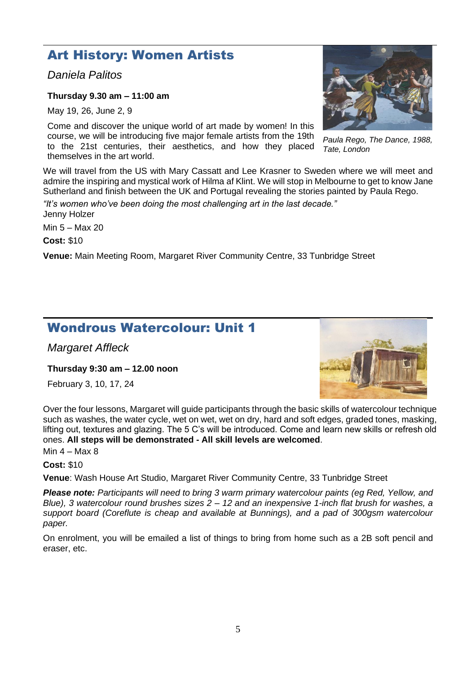## Art History: Women Artists

*Daniela Palitos*

**Thursday 9.30 am – 11:00 am**

May 19, 26, June 2, 9

Come and discover the unique world of art made by women! In this course, we will be introducing five major female artists from the 19th to the 21st centuries, their aesthetics, and how they placed themselves in the art world.

We will travel from the US with Mary Cassatt and Lee Krasner to Sweden where we will meet and admire the inspiring and mystical work of Hilma af Klint. We will stop in Melbourne to get to know Jane Sutherland and finish between the UK and Portugal revealing the stories painted by Paula Rego.

*"It's women who've been doing the most challenging art in the last decade."* Jenny Holzer

Min 5 – Max 20

**Cost:** \$10

**Venue:** Main Meeting Room, Margaret River Community Centre, 33 Tunbridge Street

## Wondrous Watercolour: Unit 1

*Margaret Affleck*

**Thursday 9:30 am – 12.00 noon**

February 3, 10, 17, 24

Over the four lessons, Margaret will guide participants through the basic skills of watercolour technique such as washes, the water cycle, wet on wet, wet on dry, hard and soft edges, graded tones, masking, lifting out, textures and glazing. The 5 C's will be introduced. Come and learn new skills or refresh old ones. **All steps will be demonstrated - All skill levels are welcomed**.

Min  $4 - Max 8$ 

**Cost:** \$10

**Venue**: Wash House Art Studio, Margaret River Community Centre, 33 Tunbridge Street

*Please note: Participants will need to bring 3 warm primary watercolour paints (eg Red, Yellow, and Blue), 3 watercolour round brushes sizes 2 – 12 and an inexpensive 1-inch flat brush for washes, a support board (Coreflute is cheap and available at Bunnings), and a pad of 300gsm watercolour paper.*

On enrolment, you will be emailed a list of things to bring from home such as a 2B soft pencil and eraser, etc.

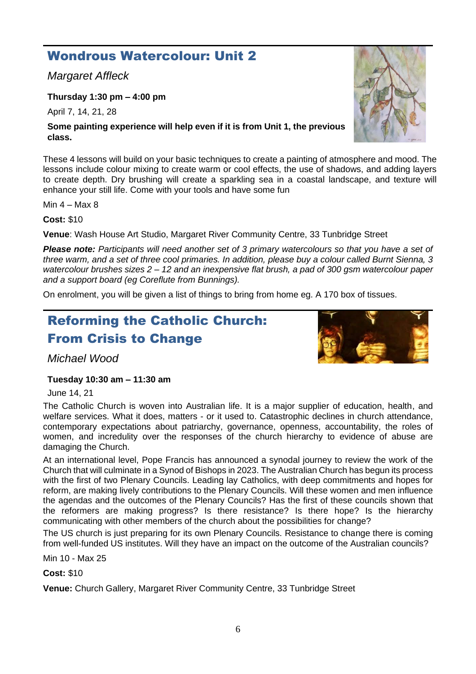# Wondrous Watercolour: Unit 2

*Margaret Affleck*

**Thursday 1:30 pm – 4:00 pm**

April 7, 14, 21, 28

## **Some painting experience will help even if it is from Unit 1, the previous class.**

These 4 lessons will build on your basic techniques to create a painting of atmosphere and mood. The lessons include colour mixing to create warm or cool effects, the use of shadows, and adding layers to create depth. Dry brushing will create a sparkling sea in a coastal landscape, and texture will enhance your still life. Come with your tools and have some fun

Min  $4 -$  Max 8

**Cost:** \$10

**Venue**: Wash House Art Studio, Margaret River Community Centre, 33 Tunbridge Street

*Please note: Participants will need another set of 3 primary watercolours so that you have a set of three warm, and a set of three cool primaries. In addition, please buy a colour called Burnt Sienna, 3 watercolour brushes sizes 2 – 12 and an inexpensive flat brush, a pad of 300 gsm watercolour paper and a support board (eg Coreflute from Bunnings).* 

On enrolment, you will be given a list of things to bring from home eg. A 170 box of tissues.

# Reforming the Catholic Church: From Crisis to Change

*Michael Wood*

## **Tuesday 10:30 am – 11:30 am**

June 14, 21

The Catholic Church is woven into Australian life. It is a major supplier of education, health, and welfare services. What it does, matters - or it used to. Catastrophic declines in church attendance, contemporary expectations about patriarchy, governance, openness, accountability, the roles of women, and incredulity over the responses of the church hierarchy to evidence of abuse are damaging the Church.

At an international level, Pope Francis has announced a synodal journey to review the work of the Church that will culminate in a Synod of Bishops in 2023. The Australian Church has begun its process with the first of two Plenary Councils. Leading lay Catholics, with deep commitments and hopes for reform, are making lively contributions to the Plenary Councils. Will these women and men influence the agendas and the outcomes of the Plenary Councils? Has the first of these councils shown that the reformers are making progress? Is there resistance? Is there hope? Is the hierarchy communicating with other members of the church about the possibilities for change?

The US church is just preparing for its own Plenary Councils. Resistance to change there is coming from well-funded US institutes. Will they have an impact on the outcome of the Australian councils?

Min 10 - Max 25

**Cost:** \$10



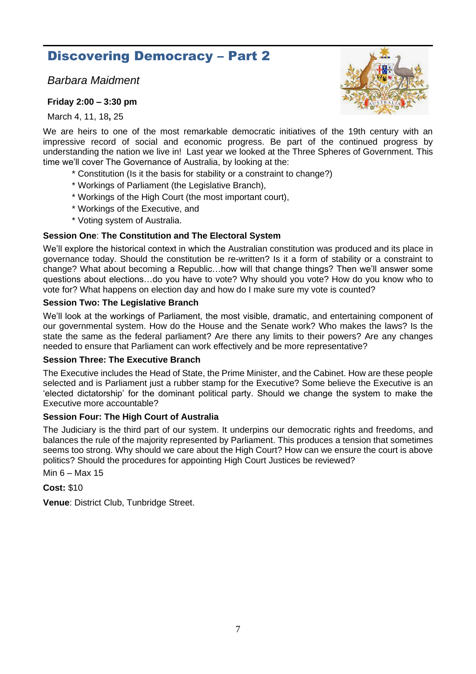## Discovering Democracy – Part 2

*Barbara Maidment* 

#### **Friday 2:00 – 3:30 pm**

March 4, 11, 18**,** 25



We are heirs to one of the most remarkable democratic initiatives of the 19th century with an impressive record of social and economic progress. Be part of the continued progress by understanding the nation we live in! Last year we looked at the Three Spheres of Government. This time we'll cover The Governance of Australia, by looking at the:

- \* Constitution (Is it the basis for stability or a constraint to change?)
- \* Workings of Parliament (the Legislative Branch),
- \* Workings of the High Court (the most important court),
- \* Workings of the Executive, and
- \* Voting system of Australia.

#### **Session One**: **The Constitution and The Electoral System**

We'll explore the historical context in which the Australian constitution was produced and its place in governance today. Should the constitution be re-written? Is it a form of stability or a constraint to change? What about becoming a Republic…how will that change things? Then we'll answer some questions about elections…do you have to vote? Why should you vote? How do you know who to vote for? What happens on election day and how do I make sure my vote is counted?

#### **Session Two: The Legislative Branch**

We'll look at the workings of Parliament, the most visible, dramatic, and entertaining component of our governmental system. How do the House and the Senate work? Who makes the laws? Is the state the same as the federal parliament? Are there any limits to their powers? Are any changes needed to ensure that Parliament can work effectively and be more representative?

#### **Session Three: The Executive Branch**

The Executive includes the Head of State, the Prime Minister, and the Cabinet. How are these people selected and is Parliament just a rubber stamp for the Executive? Some believe the Executive is an 'elected dictatorship' for the dominant political party. Should we change the system to make the Executive more accountable?

#### **Session Four: The High Court of Australia**

The Judiciary is the third part of our system. It underpins our democratic rights and freedoms, and balances the rule of the majority represented by Parliament. This produces a tension that sometimes seems too strong. Why should we care about the High Court? How can we ensure the court is above politics? Should the procedures for appointing High Court Justices be reviewed?

Min 6 – Max 15

**Cost:** \$10

**Venue**: District Club, Tunbridge Street.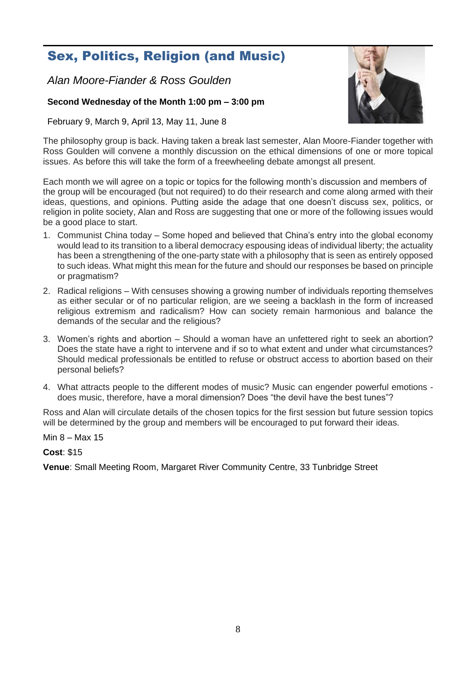# Sex, Politics, Religion (and Music)

*Alan Moore-Fiander & Ross Goulden*

## **Second Wednesday of the Month 1:00 pm – 3:00 pm**

February 9, March 9, April 13, May 11, June 8

The philosophy group is back. Having taken a break last semester, Alan Moore-Fiander together with Ross Goulden will convene a monthly discussion on the ethical dimensions of one or more topical issues. As before this will take the form of a freewheeling debate amongst all present.

Each month we will agree on a topic or topics for the following month's discussion and members of the group will be encouraged (but not required) to do their research and come along armed with their ideas, questions, and opinions. Putting aside the adage that one doesn't discuss sex, politics, or religion in polite society, Alan and Ross are suggesting that one or more of the following issues would be a good place to start.

- 1. Communist China today Some hoped and believed that China's entry into the global economy would lead to its transition to a liberal democracy espousing ideas of individual liberty; the actuality has been a strengthening of the one-party state with a philosophy that is seen as entirely opposed to such ideas. What might this mean for the future and should our responses be based on principle or pragmatism?
- 2. Radical religions With censuses showing a growing number of individuals reporting themselves as either secular or of no particular religion, are we seeing a backlash in the form of increased religious extremism and radicalism? How can society remain harmonious and balance the demands of the secular and the religious?
- 3. Women's rights and abortion Should a woman have an unfettered right to seek an abortion? Does the state have a right to intervene and if so to what extent and under what circumstances? Should medical professionals be entitled to refuse or obstruct access to abortion based on their personal beliefs?
- 4. What attracts people to the different modes of music? Music can engender powerful emotions does music, therefore, have a moral dimension? Does "the devil have the best tunes"?

Ross and Alan will circulate details of the chosen topics for the first session but future session topics will be determined by the group and members will be encouraged to put forward their ideas.

Min 8 – Max 15

**Cost**: \$15

**Venue**: Small Meeting Room, Margaret River Community Centre, 33 Tunbridge Street

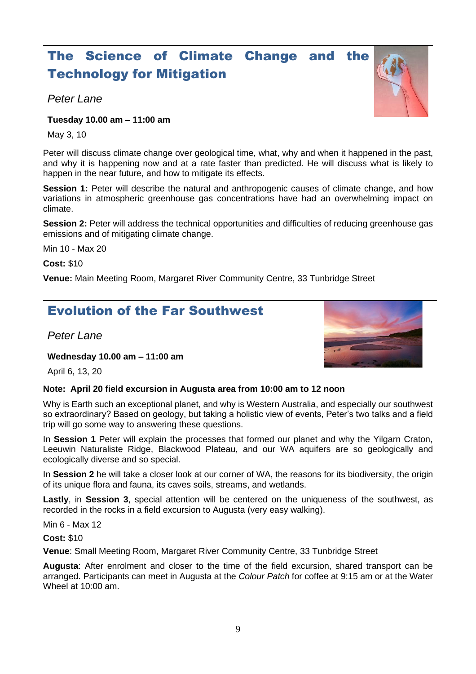# The Science of Climate Change and the Technology for Mitigation

## *Peter Lane*

## **Tuesday 10.00 am – 11:00 am**

May 3, 10

Peter will discuss climate change over geological time, what, why and when it happened in the past, and why it is happening now and at a rate faster than predicted. He will discuss what is likely to happen in the near future, and how to mitigate its effects.

**Session 1:** Peter will describe the natural and anthropogenic causes of climate change, and how variations in atmospheric greenhouse gas concentrations have had an overwhelming impact on climate.

**Session 2:** Peter will address the technical opportunities and difficulties of reducing greenhouse gas emissions and of mitigating climate change.

Min 10 - Max 20

**Cost:** \$10

**Venue:** Main Meeting Room, Margaret River Community Centre, 33 Tunbridge Street

## Evolution of the Far Southwest

*Peter Lane*

**Wednesday 10.00 am – 11:00 am**

April 6, 13, 20

## **Note: April 20 field excursion in Augusta area from 10:00 am to 12 noon**

Why is Earth such an exceptional planet, and why is Western Australia, and especially our southwest so extraordinary? Based on geology, but taking a holistic view of events, Peter's two talks and a field trip will go some way to answering these questions.

In **Session 1** Peter will explain the processes that formed our planet and why the Yilgarn Craton, Leeuwin Naturaliste Ridge, Blackwood Plateau, and our WA aquifers are so geologically and ecologically diverse and so special.

In **Session 2** he will take a closer look at our corner of WA, the reasons for its biodiversity, the origin of its unique flora and fauna, its caves soils, streams, and wetlands.

**Lastly**, in **Session 3**, special attention will be centered on the uniqueness of the southwest, as recorded in the rocks in a field excursion to Augusta (very easy walking).

Min 6 - Max 12

**Cost:** \$10

**Venue**: Small Meeting Room, Margaret River Community Centre, 33 Tunbridge Street

**Augusta**: After enrolment and closer to the time of the field excursion, shared transport can be arranged. Participants can meet in Augusta at the *Colour Patch* for coffee at 9:15 am or at the Water Wheel at 10:00 am.

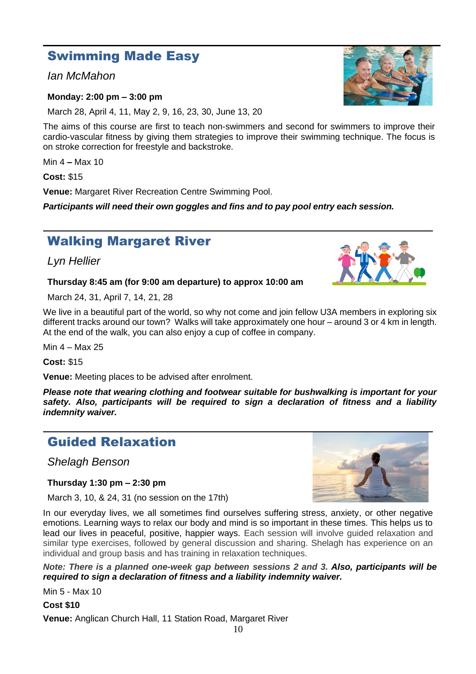# Swimming Made Easy

## *Ian McMahon*

## **Monday: 2:00 pm – 3:00 pm**

March 28, April 4, 11, May 2, 9, 16, 23, 30, June 13, 20

The aims of this course are first to teach non-swimmers and second for swimmers to improve their cardio-vascular fitness by giving them strategies to improve their swimming technique. The focus is on stroke correction for freestyle and backstroke.

Min 4 **–** Max 10

**Cost:** \$15

**Venue:** Margaret River Recreation Centre Swimming Pool.

*Participants will need their own goggles and fins and to pay pool entry each session.*

# Walking Margaret River

*Lyn Hellier*

## **Thursday 8:45 am (for 9:00 am departure) to approx 10:00 am**

March 24, 31, April 7, 14, 21, 28

We live in a beautiful part of the world, so why not come and join fellow U3A members in exploring six different tracks around our town? Walks will take approximately one hour – around 3 or 4 km in length. At the end of the walk, you can also enjoy a cup of coffee in company.

Min 4 – Max 25

**Cost:** \$15

**Venue:** Meeting places to be advised after enrolment.

*Please note that wearing clothing and footwear suitable for bushwalking is important for your safety. Also, participants will be required to sign a declaration of fitness and a liability indemnity waiver.*

## Guided Relaxation

*Shelagh Benson*

## **Thursday 1:30 pm – 2:30 pm**

March 3, 10, & 24, 31 (no session on the 17th)

In our everyday lives, we all sometimes find ourselves suffering stress, anxiety, or other negative emotions. Learning ways to relax our body and mind is so important in these times. This helps us to lead our lives in peaceful, positive, happier ways. Each session will involve guided relaxation and similar type exercises, followed by general discussion and sharing. Shelagh has experience on an individual and group basis and has training in relaxation techniques.

*Note: There is a planned one-week gap between sessions 2 and 3. Also, participants will be required to sign a declaration of fitness and a liability indemnity waiver.*

Min 5 - Max 10

**Cost \$10** 

**Venue:** Anglican Church Hall, 11 Station Road, Margaret River





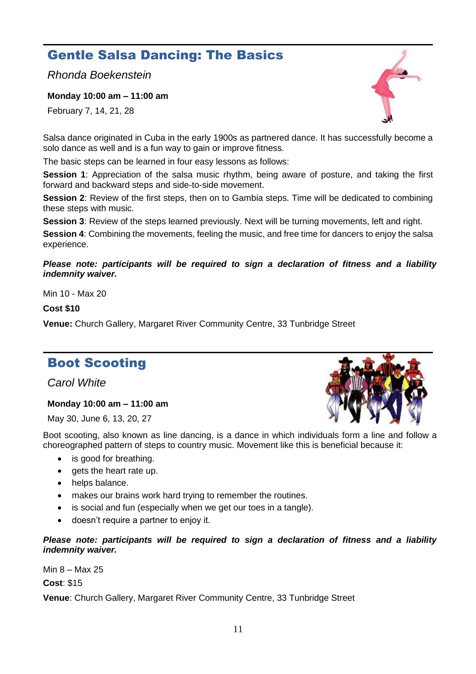# Gentle Salsa Dancing: The Basics

*Rhonda Boekenstein*

**Monday 10:00 am – 11:00 am** 

February 7, 14, 21, 28

Salsa dance originated in Cuba in the early 1900s as partnered dance. It has successfully become a solo dance as well and is a fun way to gain or improve fitness.

The basic steps can be learned in four easy lessons as follows:

**Session 1**: Appreciation of the salsa music rhythm, being aware of posture, and taking the first forward and backward steps and side-to-side movement.

**Session 2**: Review of the first steps, then on to Gambia steps. Time will be dedicated to combining these steps with music.

**Session 3**: Review of the steps learned previously. Next will be turning movements, left and right.

**Session 4**: Combining the movements, feeling the music, and free time for dancers to enjoy the salsa experience.

*Please note: participants will be required to sign a declaration of fitness and a liability indemnity waiver.*

Min 10 - Max 20

**Cost \$10** 

**Venue:** Church Gallery, Margaret River Community Centre, 33 Tunbridge Street

## Boot Scooting

*Carol White*

## **Monday 10:00 am – 11:00 am**

May 30, June 6, 13, 20, 27

Boot scooting, also known as line dancing, is a dance in which individuals form a line and follow a choreographed pattern of steps to country music. Movement like this is beneficial because it:

- is good for breathing.
- gets the heart rate up.
- helps balance.
- makes our brains work hard trying to remember the routines.
- is social and fun (especially when we get our toes in a tangle).
- doesn't require a partner to enjoy it.

#### *Please note: participants will be required to sign a declaration of fitness and a liability indemnity waiver.*

Min 8 – Max 25

**Cost**: \$15



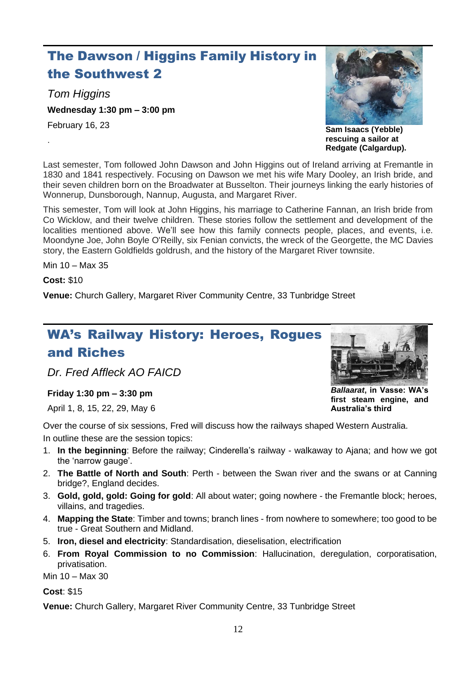# The Dawson / Higgins Family History in the Southwest 2

*Tom Higgins*

**Wednesday 1:30 pm – 3:00 pm** 

February 16, 23

.



**Sam Isaacs (Yebble) rescuing a sailor at Redgate (Calgardup).**

Last semester, Tom followed John Dawson and John Higgins out of Ireland arriving at Fremantle in 1830 and 1841 respectively. Focusing on Dawson we met his wife Mary Dooley, an Irish bride, and their seven children born on the Broadwater at Busselton. Their journeys linking the early histories of Wonnerup, Dunsborough, Nannup, Augusta, and Margaret River.

This semester, Tom will look at John Higgins, his marriage to Catherine Fannan, an Irish bride from Co Wicklow, and their twelve children. These stories follow the settlement and development of the localities mentioned above. We'll see how this family connects people, places, and events, i.e. Moondyne Joe, John Boyle O'Reilly, six Fenian convicts, the wreck of the Georgette, the MC Davies story, the Eastern Goldfields goldrush, and the history of the Margaret River townsite.

Min 10 – Max 35

**Cost:** \$10

**Venue:** Church Gallery, Margaret River Community Centre, 33 Tunbridge Street

# WA's Railway History: Heroes, Rogues and Riches

*Dr. Fred Affleck AO FAICD*

## **Friday 1:30 pm – 3:30 pm**

April 1, 8, 15, 22, 29, May 6

Over the course of six sessions, Fred will discuss how the railways shaped Western Australia. In outline these are the session topics:

- 1. **In the beginning**: Before the railway; Cinderella's railway walkaway to Ajana; and how we got the 'narrow gauge'.
- 2. **The Battle of North and South**: Perth between the Swan river and the swans or at Canning bridge?, England decides.
- 3. **Gold, gold, gold: Going for gold**: All about water; going nowhere the Fremantle block; heroes, villains, and tragedies.
- 4. **Mapping the State**: Timber and towns; branch lines from nowhere to somewhere; too good to be true - Great Southern and Midland.
- 5. **Iron, diesel and electricity**: Standardisation, dieselisation, electrification
- 6. **From Royal Commission to no Commission**: Hallucination, deregulation, corporatisation, privatisation.

Min 10 – Max 30

**Cost**: \$15



*Ballaarat***, in Vasse: WA's first steam engine, and Australia's third**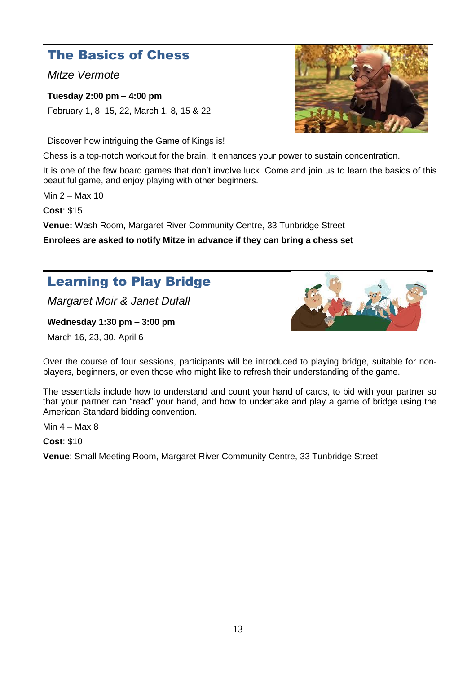## The Basics of Chess

*Mitze Vermote*

**Tuesday 2:00 pm – 4:00 pm**  February 1, 8, 15, 22, March 1, 8, 15 & 22

Discover how intriguing the Game of Kings is!

Chess is a top-notch workout for the brain. It enhances your power to sustain concentration.

It is one of the few board games that don't involve luck. Come and join us to learn the basics of this beautiful game, and enjoy playing with other beginners.

Min 2 – Max 10

**Cost**: \$15

**Venue:** Wash Room, Margaret River Community Centre, 33 Tunbridge Street

**Enrolees are asked to notify Mitze in advance if they can bring a chess set**

# Learning to Play Bridge

*Margaret Moir & Janet Dufall*

**Wednesday 1:30 pm – 3:00 pm**

March 16, 23, 30, April 6



Over the course of four sessions, participants will be introduced to playing bridge, suitable for nonplayers, beginners, or even those who might like to refresh their understanding of the game.

The essentials include how to understand and count your hand of cards, to bid with your partner so that your partner can "read" your hand, and how to undertake and play a game of bridge using the American Standard bidding convention.

Min  $4 - Max 8$ 

**Cost**: \$10

**Venue**: Small Meeting Room, Margaret River Community Centre, 33 Tunbridge Street

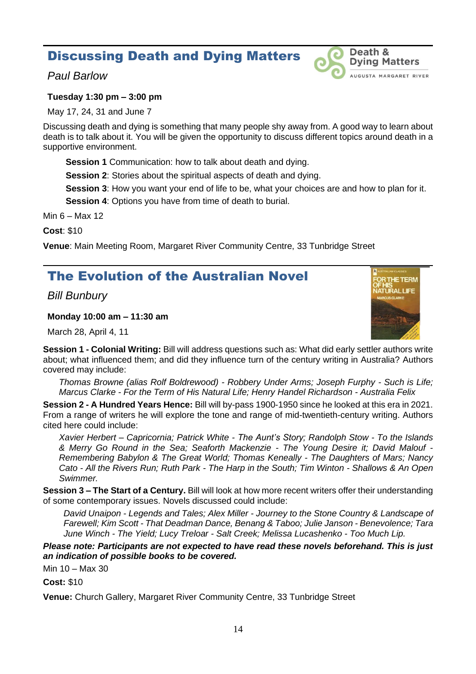## Discussing Death and Dying Matters

## *Paul Barlow*

## Death & **Dying Matters** AUGUSTA MARGARET RIVER

## **Tuesday 1:30 pm – 3:00 pm**

May 17, 24, 31 and June 7

Discussing death and dying is something that many people shy away from. A good way to learn about death is to talk about it. You will be given the opportunity to discuss different topics around death in a supportive environment.

**Session 1** Communication: how to talk about death and dying.

**Session 2:** Stories about the spiritual aspects of death and dying.

**Session 3**: How you want your end of life to be, what your choices are and how to plan for it.

**Session 4**: Options you have from time of death to burial.

Min 6 – Max 12

**Cost**: \$10

**Venue**: Main Meeting Room, Margaret River Community Centre, 33 Tunbridge Street

# The Evolution of the Australian Novel

*Bill Bunbury*

## **Monday 10:00 am – 11:30 am**

March 28, April 4, 11



**Session 1 - Colonial Writing:** Bill will address questions such as: What did early settler authors write about; what influenced them; and did they influence turn of the century writing in Australia? Authors covered may include:

*Thomas Browne (alias Rolf Boldrewood) - Robbery Under Arms; Joseph Furphy - Such is Life; Marcus Clarke - For the Term of His Natural Life; Henry Handel Richardson - Australia Felix*

**Session 2 - A Hundred Years Hence:** Bill will by-pass 1900-1950 since he looked at this era in 2021. From a range of writers he will explore the tone and range of mid-twentieth-century writing. Authors cited here could include:

*Xavier Herbert – Capricornia; Patrick White - The Aunt's Story; Randolph Stow - To the Islands & Merry Go Round in the Sea; Seaforth Mackenzie - The Young Desire it; David Malouf - Remembering Babylon & The Great World; Thomas Keneally - The Daughters of Mars; Nancy Cato - All the Rivers Run; Ruth Park - The Harp in the South; Tim Winton - Shallows & An Open Swimmer.*

**Session 3 – The Start of a Century.** Bill will look at how more recent writers offer their understanding of some contemporary issues. Novels discussed could include:

*David Unaipon - Legends and Tales; Alex Miller - Journey to the Stone Country & Landscape of Farewell; Kim Scott - That Deadman Dance, Benang & Taboo; Julie Janson - Benevolence; Tara June Winch - The Yield; Lucy Treloar - Salt Creek; Melissa Lucashenko - Too Much Lip.*

*Please note: Participants are not expected to have read these novels beforehand. This is just an indication of possible books to be covered.*

Min 10 – Max 30

**Cost:** \$10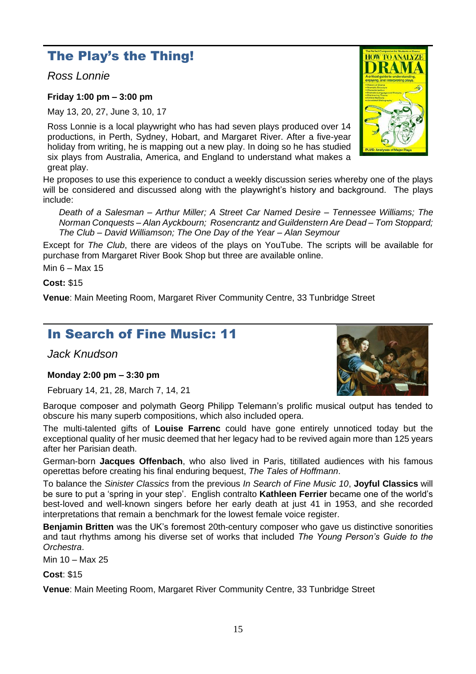## The Play's the Thing!

*Ross Lonnie*

## **Friday 1:00 pm – 3:00 pm**

May 13, 20, 27, June 3, 10, 17

Ross Lonnie is a local playwright who has had seven plays produced over 14 productions, in Perth, Sydney, Hobart, and Margaret River. After a five-year holiday from writing, he is mapping out a new play. In doing so he has studied six plays from Australia, America, and England to understand what makes a great play.

He proposes to use this experience to conduct a weekly discussion series whereby one of the plays will be considered and discussed along with the playwright's history and background. The plays include:

*Death of a Salesman – Arthur Miller; A Street Car Named Desire – Tennessee Williams; The Norman Conquests – Alan Ayckbourn; Rosencrantz and Guildenstern Are Dead – Tom Stoppard; The Club – David Williamson; The One Day of the Year – Alan Seymour* 

Except for *The Club*, there are videos of the plays on YouTube. The scripts will be available for purchase from Margaret River Book Shop but three are available online.

Min 6 – Max 15

## **Cost:** \$15

**Venue**: Main Meeting Room, Margaret River Community Centre, 33 Tunbridge Street

## In Search of Fine Music: 11

*Jack Knudson*

## **Monday 2:00 pm – 3:30 pm**

February 14, 21, 28, March 7, 14, 21

Baroque composer and polymath Georg Philipp Telemann's prolific musical output has tended to obscure his many superb compositions, which also included opera.

The multi-talented gifts of **Louise Farrenc** could have gone entirely unnoticed today but the exceptional quality of her music deemed that her legacy had to be revived again more than 125 years after her Parisian death.

German-born **Jacques Offenbach**, who also lived in Paris, titillated audiences with his famous operettas before creating his final enduring bequest, *The Tales of Hoffmann*.

To balance the *Sinister Classics* from the previous *In Search of Fine Music 10*, **Joyful Classics** will be sure to put a 'spring in your step'. English contralto **Kathleen Ferrier** became one of the world's best-loved and well-known singers before her early death at just 41 in 1953, and she recorded interpretations that remain a benchmark for the lowest female voice register.

**Benjamin Britten** was the UK's foremost 20th-century composer who gave us distinctive sonorities and taut rhythms among his diverse set of works that included *The Young Person's Guide to the Orchestra*.

Min 10 – Max 25

## **Cost**: \$15

**Venue**: Main Meeting Room, Margaret River Community Centre, 33 Tunbridge Street



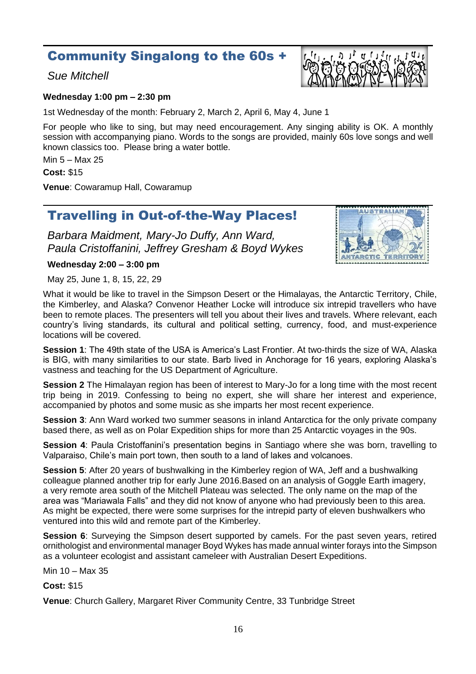## Community Singalong to the 60s +

## *Sue Mitchell*



#### **Wednesday 1:00 pm – 2:30 pm**

1st Wednesday of the month: February 2, March 2, April 6, May 4, June 1

For people who like to sing, but may need encouragement. Any singing ability is OK. A monthly session with accompanying piano. Words to the songs are provided, mainly 60s love songs and well known classics too. Please bring a water bottle.

Min 5 – Max 25

**Cost:** \$15

**Venue**: Cowaramup Hall, Cowaramup

## Travelling in Out-of-the-Way Places!

*Barbara Maidment, Mary-Jo Duffy, Ann Ward, Paula Cristoffanini, Jeffrey Gresham & Boyd Wykes*



#### **Wednesday 2:00 – 3:00 pm**

May 25, June 1, 8, 15, 22, 29

What it would be like to travel in the Simpson Desert or the Himalayas, the Antarctic Territory, Chile, the Kimberley, and Alaska? Convenor Heather Locke will introduce six intrepid travellers who have been to remote places. The presenters will tell you about their lives and travels. Where relevant, each country's living standards, its cultural and political setting, currency, food, and must-experience locations will be covered.

**Session 1**: The 49th state of the USA is America's Last Frontier. At two-thirds the size of WA, Alaska is BIG, with many similarities to our state. Barb lived in Anchorage for 16 years, exploring Alaska's vastness and teaching for the US Department of Agriculture.

**Session 2** The Himalayan region has been of interest to Mary-Jo for a long time with the most recent trip being in 2019. Confessing to being no expert, she will share her interest and experience, accompanied by photos and some music as she imparts her most recent experience.

**Session 3**: Ann Ward worked two summer seasons in inland Antarctica for the only private company based there, as well as on Polar Expedition ships for more than 25 Antarctic voyages in the 90s.

**Session 4**: Paula Cristoffanini's presentation begins in Santiago where she was born, travelling to Valparaiso, Chile's main port town, then south to a land of lakes and volcanoes.

**Session 5**: After 20 years of bushwalking in the Kimberley region of WA, Jeff and a bushwalking colleague planned another trip for early June 2016.Based on an analysis of Goggle Earth imagery, a very remote area south of the Mitchell Plateau was selected. The only name on the map of the area was "Mariawala Falls" and they did not know of anyone who had previously been to this area. As might be expected, there were some surprises for the intrepid party of eleven bushwalkers who ventured into this wild and remote part of the Kimberley.

**Session 6**: Surveying the Simpson desert supported by camels. For the past seven years, retired ornithologist and environmental manager Boyd Wykes has made annual winter forays into the Simpson as a volunteer ecologist and assistant cameleer with Australian Desert Expeditions.

Min 10 – Max 35

**Cost:** \$15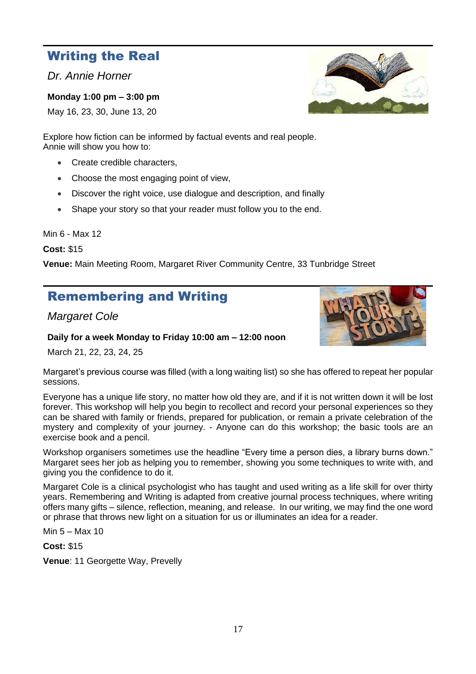## Writing the Real

*Dr. Annie Horner*

**Monday 1:00 pm – 3:00 pm** 

May 16, 23, 30, June 13, 20

Explore how fiction can be informed by factual events and real people. Annie will show you how to:

- Create credible characters,
- Choose the most engaging point of view,
- Discover the right voice, use dialogue and description, and finally
- Shape your story so that your reader must follow you to the end.

Min 6 - Max 12

**Cost:** \$15

**Venue:** Main Meeting Room, Margaret River Community Centre, 33 Tunbridge Street

# Remembering and Writing

*Margaret Cole* 

## **Daily for a week Monday to Friday 10:00 am – 12:00 noon**

March 21, 22, 23, 24, 25

Margaret's previous course was filled (with a long waiting list) so she has offered to repeat her popular sessions.

Everyone has a unique life story, no matter how old they are, and if it is not written down it will be lost forever. This workshop will help you begin to recollect and record your personal experiences so they can be shared with family or friends, prepared for publication, or remain a private celebration of the mystery and complexity of your journey. - Anyone can do this workshop; the basic tools are an exercise book and a pencil.

Workshop organisers sometimes use the headline "Every time a person dies, a library burns down." Margaret sees her job as helping you to remember, showing you some techniques to write with, and giving you the confidence to do it.

Margaret Cole is a clinical psychologist who has taught and used writing as a life skill for over thirty years. Remembering and Writing is adapted from creative journal process techniques, where writing offers many gifts – silence, reflection, meaning, and release. In our writing, we may find the one word or phrase that throws new light on a situation for us or illuminates an idea for a reader.

Min 5 – Max 10

**Cost:** \$15

**Venue**: 11 Georgette Way, Prevelly